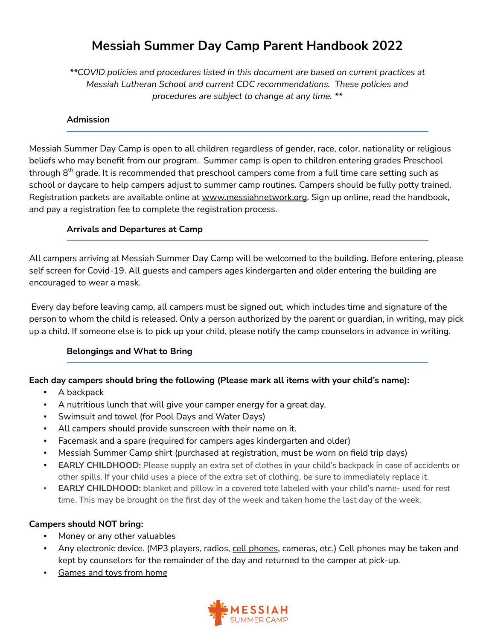# **Messiah Summer Day Camp Parent Handbook 2022**

*\*\*COVID policies and procedures listed in this document are based on current practices at Messiah Lutheran School and current CDC recommendations. These policies and procedures are subject to change at any time. \*\**

#### **Admission**

Messiah Summer Day Camp is open to all children regardless of gender, race, color, nationality or religious beliefs who may benefit from our program. Summer camp is open to children entering grades Preschool through  $8^\text{th}$  grade. It is recommended that preschool campers come from a full time care setting such as school or daycare to help campers adjust to summer camp routines. Campers should be fully potty trained. Registration packets are available online at [www.messiahnetwork.org](http://www.messiahnetwork.org). Sign up online, read the handbook, and pay a registration fee to complete the registration process.

### **Arrivals and Departures at Camp**

All campers arriving at Messiah Summer Day Camp will be welcomed to the building. Before entering, please self screen for Covid-19. All guests and campers ages kindergarten and older entering the building are encouraged to wear a mask.

Every day before leaving camp, all campers must be signed out, which includes time and signature of the person to whom the child is released. Only a person authorized by the parent or guardian, in writing, may pick up a child. If someone else is to pick up your child, please notify the camp counselors in advance in writing.

# **Belongings and What to Bring**

# **Each day campers should bring the following (Please mark all items with your child's name):**

- A backpack
- A nutritious lunch that will give your camper energy for a great day.
- Swimsuit and towel (for Pool Days and Water Days)
- All campers should provide sunscreen with their name on it.
- Facemask and a spare (required for campers ages kindergarten and older)
- Messiah Summer Camp shirt (purchased at registration, must be worn on field trip days)
- **EARLY CHILDHOOD:** Please supply an extra set of clothes in your child's backpack in case of accidents or other spills. If your child uses a piece of the extra set of clothing, be sure to immediately replace it.
- **EARLY CHILDHOOD:** blanket and pillow in a covered tote labeled with your child's name- used for rest time. This may be brought on the first day of the week and taken home the last day of the week.

# **Campers should NOT bring:**

- Money or any other valuables
- **•** Any electronic device. (MP3 players, radios, cell phones, cameras, etc.) Cell phones may be taken and kept by counselors for the remainder of the day and returned to the camper at pick-up.
- Games and toys from home

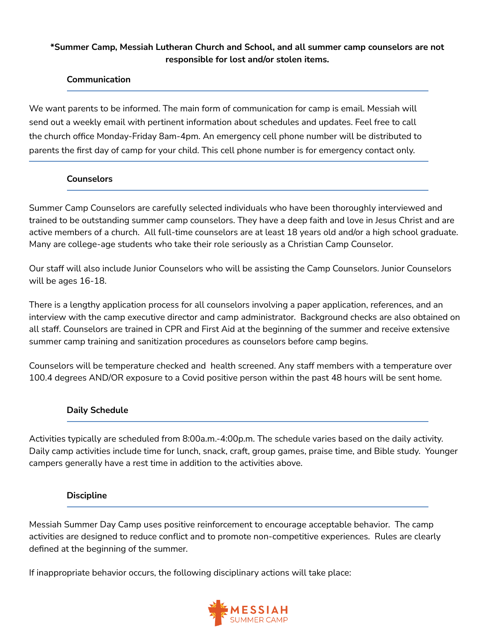# **\*Summer Camp, Messiah Lutheran Church and School, and all summer camp counselors are not responsible for lost and/or stolen items.**

### **Communication**

We want parents to be informed. The main form of communication for camp is email. Messiah will send out a weekly email with pertinent information about schedules and updates. Feel free to call the church office Monday-Friday 8am-4pm. An emergency cell phone number will be distributed to parents the first day of camp for your child. This cell phone number is for emergency contact only.

#### **Counselors**

Summer Camp Counselors are carefully selected individuals who have been thoroughly interviewed and trained to be outstanding summer camp counselors. They have a deep faith and love in Jesus Christ and are active members of a church. All full-time counselors are at least 18 years old and/or a high school graduate. Many are college-age students who take their role seriously as a Christian Camp Counselor.

Our staff will also include Junior Counselors who will be assisting the Camp Counselors. Junior Counselors will be ages 16-18.

There is a lengthy application process for all counselors involving a paper application, references, and an interview with the camp executive director and camp administrator. Background checks are also obtained on all staff. Counselors are trained in CPR and First Aid at the beginning of the summer and receive extensive summer camp training and sanitization procedures as counselors before camp begins.

Counselors will be temperature checked and health screened. Any staff members with a temperature over 100.4 degrees AND/OR exposure to a Covid positive person within the past 48 hours will be sent home.

#### **Daily Schedule**

Activities typically are scheduled from 8:00a.m.-4:00p.m. The schedule varies based on the daily activity. Daily camp activities include time for lunch, snack, craft, group games, praise time, and Bible study. Younger campers generally have a rest time in addition to the activities above.

#### **Discipline**

Messiah Summer Day Camp uses positive reinforcement to encourage acceptable behavior. The camp activities are designed to reduce conflict and to promote non-competitive experiences. Rules are clearly defined at the beginning of the summer.

If inappropriate behavior occurs, the following disciplinary actions will take place:

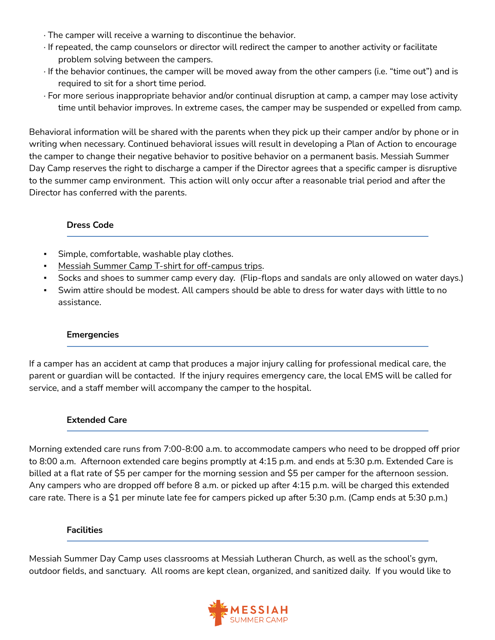- · The camper will receive a warning to discontinue the behavior.
- · If repeated, the camp counselors or director will redirect the camper to another activity or facilitate problem solving between the campers.
- · If the behavior continues, the camper will be moved away from the other campers (i.e. "time out") and is required to sit for a short time period.
- · For more serious inappropriate behavior and/or continual disruption at camp, a camper may lose activity time until behavior improves. In extreme cases, the camper may be suspended or expelled from camp.

Behavioral information will be shared with the parents when they pick up their camper and/or by phone or in writing when necessary. Continued behavioral issues will result in developing a Plan of Action to encourage the camper to change their negative behavior to positive behavior on a permanent basis. Messiah Summer Day Camp reserves the right to discharge a camper if the Director agrees that a specific camper is disruptive to the summer camp environment. This action will only occur after a reasonable trial period and after the Director has conferred with the parents.

# **Dress Code**

- Simple, comfortable, washable play clothes.
- Messiah Summer Camp T-shirt for off-campus trips.
- Socks and shoes to summer camp every day. (Flip-flops and sandals are only allowed on water days.)
- Swim attire should be modest. All campers should be able to dress for water days with little to no assistance.

#### **Emergencies**

If a camper has an accident at camp that produces a major injury calling for professional medical care, the parent or guardian will be contacted. If the injury requires emergency care, the local EMS will be called for service, and a staff member will accompany the camper to the hospital.

#### **Extended Care**

Morning extended care runs from 7:00-8:00 a.m. to accommodate campers who need to be dropped off prior to 8:00 a.m. Afternoon extended care begins promptly at 4:15 p.m. and ends at 5:30 p.m. Extended Care is billed at a flat rate of \$5 per camper for the morning session and \$5 per camper for the afternoon session. Any campers who are dropped off before 8 a.m. or picked up after 4:15 p.m. will be charged this extended care rate. There is a \$1 per minute late fee for campers picked up after 5:30 p.m. (Camp ends at 5:30 p.m.)

#### **Facilities**

Messiah Summer Day Camp uses classrooms at Messiah Lutheran Church, as well as the school's gym, outdoor fields, and sanctuary. All rooms are kept clean, organized, and sanitized daily. If you would like to

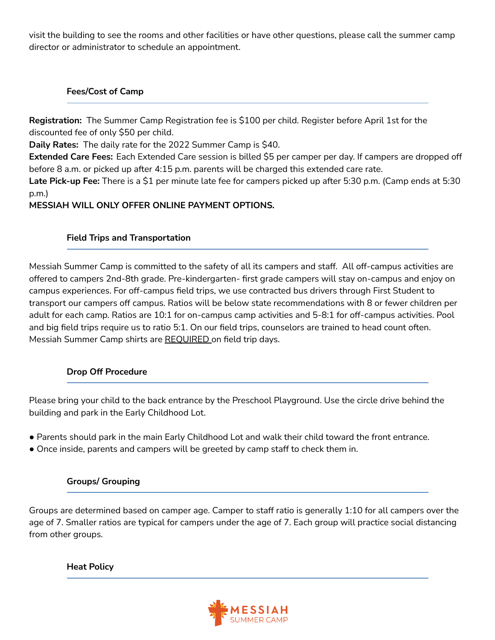visit the building to see the rooms and other facilities or have other questions, please call the summer camp director or administrator to schedule an appointment.

# **Fees/Cost of Camp**

**Registration:** The Summer Camp Registration fee is \$100 per child. Register before April 1st for the discounted fee of only \$50 per child.

**Daily Rates:** The daily rate for the 2022 Summer Camp is \$40.

**Extended Care Fees:** Each Extended Care session is billed \$5 per camper per day. If campers are dropped off before 8 a.m. or picked up after 4:15 p.m. parents will be charged this extended care rate.

**Late Pick-up Fee:** There is a \$1 per minute late fee for campers picked up after 5:30 p.m. (Camp ends at 5:30 p.m.)

**MESSIAH WILL ONLY OFFER ONLINE PAYMENT OPTIONS.**

# **Field Trips and Transportation**

Messiah Summer Camp is committed to the safety of all its campers and staff. All off-campus activities are offered to campers 2nd-8th grade. Pre-kindergarten- first grade campers will stay on-campus and enjoy on campus experiences. For off-campus field trips, we use contracted bus drivers through First Student to transport our campers off campus. Ratios will be below state recommendations with 8 or fewer children per adult for each camp. Ratios are 10:1 for on-campus camp activities and 5-8:1 for off-campus activities. Pool and big field trips require us to ratio 5:1. On our field trips, counselors are trained to head count often. Messiah Summer Camp shirts are REQUIRED on field trip days.

# **Drop Off Procedure**

Please bring your child to the back entrance by the Preschool Playground. Use the circle drive behind the building and park in the Early Childhood Lot.

- Parents should park in the main Early Childhood Lot and walk their child toward the front entrance.
- Once inside, parents and campers will be greeted by camp staff to check them in.

# **Groups/ Grouping**

Groups are determined based on camper age. Camper to staff ratio is generally 1:10 for all campers over the age of 7. Smaller ratios are typical for campers under the age of 7. Each group will practice social distancing from other groups.

**Heat Policy**

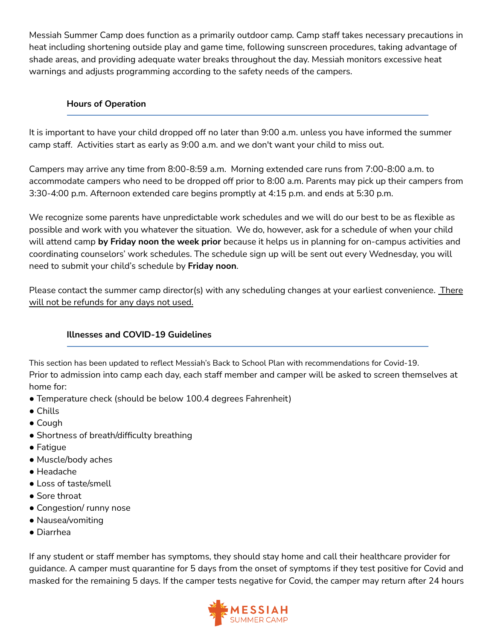Messiah Summer Camp does function as a primarily outdoor camp. Camp staff takes necessary precautions in heat including shortening outside play and game time, following sunscreen procedures, taking advantage of shade areas, and providing adequate water breaks throughout the day. Messiah monitors excessive heat warnings and adjusts programming according to the safety needs of the campers.

#### **Hours of Operation**

It is important to have your child dropped off no later than 9:00 a.m. unless you have informed the summer camp staff. Activities start as early as 9:00 a.m. and we don't want your child to miss out.

Campers may arrive any time from 8:00-8:59 a.m. Morning extended care runs from 7:00-8:00 a.m. to accommodate campers who need to be dropped off prior to 8:00 a.m. Parents may pick up their campers from 3:30-4:00 p.m. Afternoon extended care begins promptly at 4:15 p.m. and ends at 5:30 p.m.

We recognize some parents have unpredictable work schedules and we will do our best to be as flexible as possible and work with you whatever the situation. We do, however, ask for a schedule of when your child will attend camp **by Friday noon the week prior** because it helps us in planning for on-campus activities and coordinating counselors' work schedules. The schedule sign up will be sent out every Wednesday, you will need to submit your child's schedule by **Friday noon**.

Please contact the summer camp director(s) with any scheduling changes at your earliest convenience. There will not be refunds for any days not used.

# **Illnesses and COVID-19 Guidelines**

This section has been updated to reflect Messiah's Back to School Plan with recommendations for Covid-19. Prior to admission into camp each day, each staff member and camper will be asked to screen themselves at home for:

- Temperature check (should be below 100.4 degrees Fahrenheit)
- Chills
- Cough
- Shortness of breath/difficulty breathing
- Fatigue
- Muscle/body aches
- Headache
- Loss of taste/smell
- Sore throat
- Congestion/ runny nose
- Nausea/vomiting
- Diarrhea

If any student or staff member has symptoms, they should stay home and call their healthcare provider for guidance. A camper must quarantine for 5 days from the onset of symptoms if they test positive for Covid and masked for the remaining 5 days. If the camper tests negative for Covid, the camper may return after 24 hours

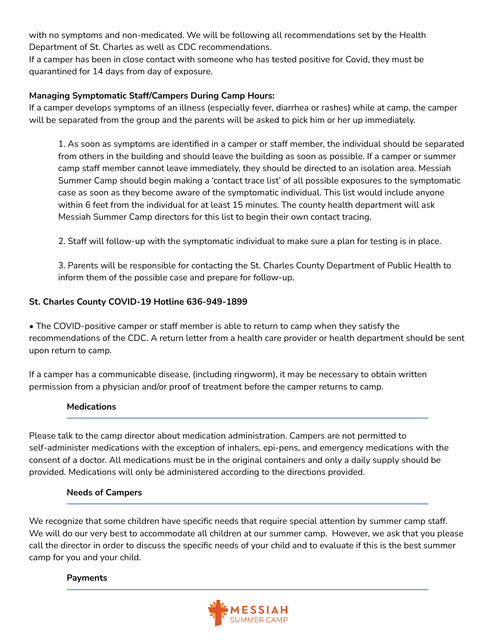with no symptoms and non-medicated. We will be following all recommendations set by the Health Department of St. Charles as well as CDC recommendations.

If a camper has been in close contact with someone who has tested positive for Covid, they must be quarantined for 14 days from day of exposure.

# **Managing Symptomatic Staff/Campers During Camp Hours:**

If a camper develops symptoms of an illness (especially fever, diarrhea or rashes) while at camp, the camper will be separated from the group and the parents will be asked to pick him or her up immediately.

1. As soon as symptoms are identified in a camper or staff member, the individual should be separated from others in the building and should leave the building as soon as possible. If a camper or summer camp staff member cannot leave immediately, they should be directed to an isolation area. Messiah Summer Camp should begin making a 'contact trace list' of all possible exposures to the symptomatic case as soon as they become aware of the symptomatic individual. This list would include anyone within 6 feet from the individual for at least 15 minutes. The county health department will ask Messiah Summer Camp directors for this list to begin their own contact tracing.

2. Staff will follow-up with the symptomatic individual to make sure a plan for testing is in place.

3. Parents will be responsible for contacting the St. Charles County Department of Public Health to inform them of the possible case and prepare for follow-up.

# **St. Charles County COVID-19 Hotline 636-949-1899**

• The COVID-positive camper or staff member is able to return to camp when they satisfy the recommendations of the CDC. A return letter from a health care provider or health department should be sent upon return to camp.

If a camper has a communicable disease, (including ringworm), it may be necessary to obtain written permission from a physician and/or proof of treatment before the camper returns to camp.

# **Medications**

Please talk to the camp director about medication administration. Campers are not permitted to self-administer medications with the exception of inhalers, epi-pens, and emergency medications with the consent of a doctor. All medications must be in the original containers and only a daily supply should be provided. Medications will only be administered according to the directions provided.

# **Needs of Campers**

We recognize that some children have specific needs that require special attention by summer camp staff. We will do our very best to accommodate all children at our summer camp. However, we ask that you please call the director in order to discuss the specific needs of your child and to evaluate if this is the best summer camp for you and your child.

# **Payments**